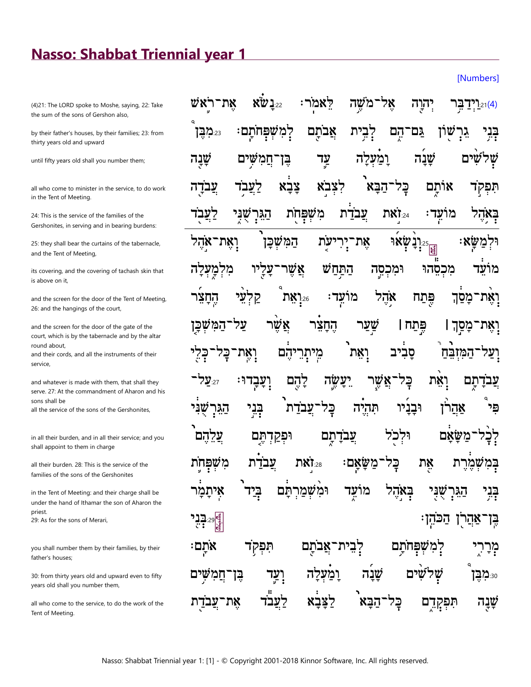## **Nasso: Shabbat Triennial year 1**

(4)21: The LORD spoke to Moshe, saying, 22: Take the sum of the sons of Gershon also,

by their father's houses, by their families; 23: from thirty years old and upward

until fifty years old shall you number them;

all who come to minister in the service, to do work in the Tent of Meeting.

24: This is the service of the families of the Gershonites, in serving and in bearing burdens:

25: they shall bear the curtains of the tabernacle, and the Tent of Meeting,

its covering, and the covering of tachash skin that is above on it,

and the screen for the door of the Tent of Meeting, 26: and the hangings of the court,

and the screen for the door of the gate of the court, which is by the tabernacle and by the altar round about,

and their cords, and all the instruments of their service,

and whatever is made with them, that shall they serve. 27: At the commandment of Aharon and his sons shall be all the service of the sons of the Gershonites,

in all their burden, and in all their service; and you shall appoint to them in charge

all their burden. 28: This is the service of the families of the sons of the Gershonites

in the Tent of Meeting: and their charge shall be under the hand of Ithamar the son of Aharon the priest. 29: As for the sons of Merari,

you shall number them by their families, by their father's houses;

30: from thirty years old and upward even to fifty years old shall you number them,

all who come to the service, to do the work of the Tent of Meeting.

| וַיַּרַבְּר יְהוֶה אָל־מֹשֶׁה לֵאמֹר: 22 אֶת־רֹאָשׁ וֹאַר הַאַל (4)                                            |                                                                       |  |  |                                           |  |
|----------------------------------------------------------------------------------------------------------------|-----------------------------------------------------------------------|--|--|-------------------------------------------|--|
| <sub>23</sub> :מַבֶּךְ                                                                                         | בְּבִי גִרְשָׁוֹן גַּם־הֶם לְבִית אֲבֹתֶם לְמִשְׁפְּחֹתְם:            |  |  |                                           |  |
| שְׁלִשִּׁים שָׁנָה וָמַ֫עְלָה עַד בֶּן־חֲמִשִּׁיִם שָׁנָה                                                      |                                                                       |  |  |                                           |  |
| תִּפְק <mark>ָד אוֹתֶם כָּל־הַבָּא<sup>ָ</sup> לִצְבֹא צָבָא לַעֲב</mark> ִד עֲבֹדֶה                           |                                                                       |  |  |                                           |  |
| בְּא <sub>ָ</sub> ׂהָל מוֹעֵד: វִּיַאת עֲבֹדַת מִשְׁפְּחָׂת הַגֵּרְשֶׁגְּי לַעֲבֻד                             |                                                                       |  |  |                                           |  |
| וּלְמַשָּׂא: <sub>हु ו</sub> ַיְנָשְׁאוּ אָת־יְרִיעָׂת הַמִּשְׁכָּן וְאֶת־אָהֶל                                |                                                                       |  |  |                                           |  |
| מוֹעֵד מִכְםֵהוּ וּמִכְםֶה הַתַּחַשׁ אֲשֶׁר־עָלָיו מִלְמְַעְלָה                                                |                                                                       |  |  |                                           |  |
| וָאֶת־מָּםַ֫ךָ פֶּתַח אָהֶל מוֹעִֽד <sup>ָ</sup> : <sub>∘</sub> ּיָיָאֵת קַלְעֵ <sup>ּ</sup> י הֶחָצִּר        |                                                                       |  |  |                                           |  |
| וָאֶת־מָפָךָ । פְּתַח   שֲצַר הֶחָצֵ <sup>ׂר</sup> אֲשֶׁר צַל־הַמִּשְּׁבְּ <del>ן</del>                        |                                                                       |  |  |                                           |  |
| וָעַל־הַמִּזְבֵּׁחַ סָבִיב וְאֵת <sup>ָ</sup> מִיתְרֵיהֶם וְאֶת־כָּל־כָּלֵי                                    |                                                                       |  |  |                                           |  |
| <b>ְצַבֹדָתֶם וָאֵת בְּלִ־אֲשֶׁר יֵעֲשֶׂה לָהֶם וְעָבְדוּ:</b> <sub>22ֹ</sub> עַל־                             |                                                                       |  |  |                                           |  |
| וּבָנִיׁי תִּהְיֶה כָּל־עֲבֹדַת <sup>י</sup> בְּגֵי הַגֵּרְשָׁנִּי                                             |                                                                       |  |  | <sub>ַ</sub><br>פִּי אַהֲל <sup>ֹ</sup> ן |  |
| ڋٟؗڂڔ؎ؚٙۿۿ۪؋ڡۦ؞ؠڋۻ<br>ڋڂڔ؎ٙۿۿ۪ۼڡ؞؞ؠڋۻ                                                                          |                                                                       |  |  |                                           |  |
| تزهقش                                                                                                          | בְּמִשְׁמֶרֶת אֶת בְּל־מַשָּׂאָם: <sub>28.</sub> זֹאת <u>עֲבֹד</u> ַת |  |  |                                           |  |
| בְּגִי הַגִּרְשֻׁגָּי בְּא <sub>ْ</sub> הָל מוֹעֵד וּמִ֫שְׁמַרְתָּם בְּיַד <sup>ָ</sup> אִיתָמָ <sup>ׂ</sup> ר |                                                                       |  |  |                                           |  |
| $72.29\frac{d}{d}$                                                                                             |                                                                       |  |  | <u>בָּן אַּהַ</u> רֹן הַכּהִן             |  |
| ּמְרָרְיָ לְמִשְׁפְּחֹתָם לְבִית־אֲבֹתֶם תִּפְק <del>וֹ</del> אֹתְם:                                           |                                                                       |  |  |                                           |  |
| <sub>®</sub> ּמִבֶּן שְׁלֹשִׁים שָׁנָה וָמַ <mark>ׂע</mark> ְלָה וְעַד בֶּן־חֲמִשָּׁיִם                        |                                                                       |  |  |                                           |  |
| ּשָׁנָה תִּפְקָדֶם בָּל־הַבָּא <sup>ָ</sup> לַצָּבָת לַעֲבֹד אֶת־עֲב <i>ֹד</i> ָת                              |                                                                       |  |  |                                           |  |

[Numbers]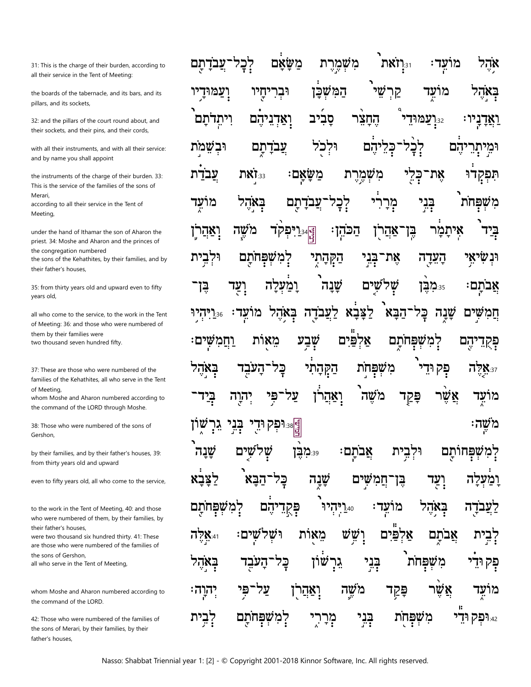31: This is the charge of their burden, according to all their service in the Tent of Meeting:

the boards of the tabernacle, and its bars, and its pillars, and its sockets,

32: and the pillars of the court round about, and their sockets, and their pins, and their cords,

with all their instruments, and with all their service: and by name you shall appoint

the instruments of the charge of their burden. 33: This is the service of the families of the sons of Merari according to all their service in the Tent of Meeting.

under the hand of Ithamar the son of Aharon the priest. 34: Moshe and Aharon and the princes of the congregation numbered the sons of the Kehathites, by their families, and by

their father's houses.

35: from thirty years old and upward even to fifty vears old.

all who come to the service, to the work in the Tent of Meeting: 36: and those who were numbered of them by their families were two thousand seven hundred fifty.

37<sup>.</sup> These are those who were numbered of the families of the Kehathites, all who serve in the Tent of Meeting,

whom Moshe and Aharon numbered according to the command of the LORD through Moshe.

38: Those who were numbered of the sons of Gershon.

by their families, and by their father's houses, 39: from thirty years old and upward

even to fifty years old, all who come to the service,

to the work in the Tent of Meeting, 40: and those who were numbered of them, by their families, by their father's houses.

were two thousand six hundred thirty, 41: These are those who were numbered of the families of the sons of Gershon. all who serve in the Tent of Meeting,

whom Moshe and Aharon numbered according to the command of the LORD.

42: Those who were numbered of the families of the sons of Merari, by their families, by their father's houses,

18! נואת מִשְׁמֵרֵ משאם לִבְל <u>'ת</u> עבדתם מועד אהי ועמוד יחיו וּבר המשכן מועד קר יִיַ**עֲמוּדי** ויתדתם סביב החצר ואדניהם : נין עבדתם וּלכֹל לִכָּל וּבשמת כליהם הם' משאם: עבדת 187:33 מִשְׁמֶרֶת בִי את־ תִּפְקְדוּ בְּנִי באהל לְבָל מַרַרִי משפחת מועד תם עבד <sub>ڲٳ؞ؽ</sub>ڗۥ۬ۊٜקד<br>ڵ<sub>ٵ</sub>؞ؾڗ؞ۊ **ַּיְדַ־אַהַר'ן** <u>יִאַהְרְ</u>ן משה ּהַכּהֶן איתמר ביד וּלבית רמשפחתם <u>הקהתי</u> את העדה ונשיאי בני של וִעַד ומעלה שׁנה שים בן: פּ:מבן אבתם: 15.7".36 באהל הבא מועד: לעבדה לצבא שנה שים חמ <u>וחמשים:</u> שׁבע מאות פים טפחתם הם קמ באהל <u>הַקְּהָתִי</u> משפחת העבד פְק כל 77 8:37**X**זה על פּקַד אשו ואהרו משה זרה מועד <sub>हे</sub>:וּפְקוּדֵ בְּנִי<br>י משה: גר שׁנ לט ם פּּ≔ִמְבֻן אֲבתַם וּקִבֵית שפחותם דמ לצבא הבא כל שנה שים ומעלה ⊊ן חמ עד **לְמִשָּׁפְחֹתַם** ַפְּקָד<br>יָ הם 17הלף : עד מו באהל בדה מֵאוֹת וש שש אלפים **77X**:41 ים: אבתם בְּנִי שון משפחת באהל כל גר פק אַשר משה פַּקַד יְהוָה ואהרן מועד בְּנִי לִבְית משפחת 42.**ופק ודי** למשפחתם מְרָ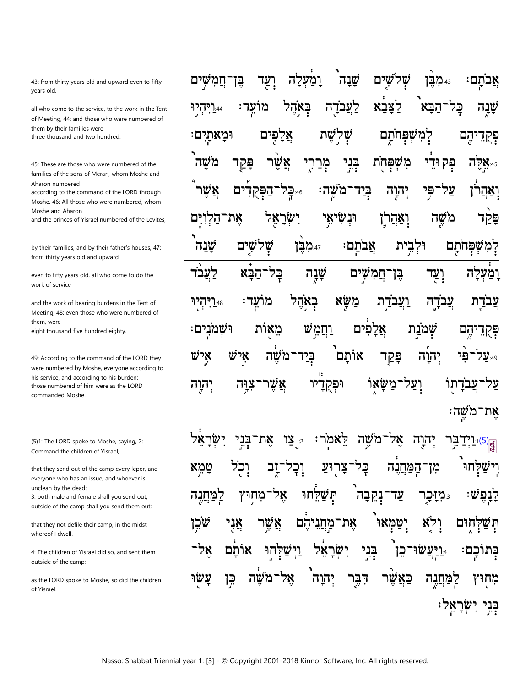43: from thirty years old and upward even to fifty years old,

all who come to the service, to the work in the Tent of Meeting, 44: and those who were numbered of them by their families were three thousand and two hundred.

45: These are those who were numbered of the families of the sons of Merari, whom Moshe and Aharon numbered

according to the command of the LORD through Moshe. 46: All those who were numbered, whom Moshe and Aharon

and the princes of Yisrael numbered of the Levites,

by their families, and by their father's houses, 47: from thirty years old and upward

even to fifty years old, all who come to do the work of service

and the work of bearing burdens in the Tent of Meeting, 48: even those who were numbered of them, were eight thousand five hundred eighty.

49: According to the command of the LORD they were numbered by Moshe, everyone according to his service, and according to his burden: those numbered of him were as the LORD commanded Moshe.

(5)1: The LORD spoke to Moshe, saying, 2: Command the children of Yisrael,

that they send out of the camp every leper, and everyone who has an issue, and whoever is unclean by the dead: 3: both male and female shall you send out, outside of the camp shall you send them out;

that they not defile their camp, in the midst

whereof I dwell. 4: The children of Yisrael did so, and sent them

outside of the camp;

as the LORD spoke to Moshe, so did the children of Yisrael.

שׁנה שלשים יִעַד ומעלה נ⊿ים?[ אבתם∶ חמשים בן בְּאֹהֵל מועד: לעבדה לצבא הבא בַּק 17הלף:44 שנה אֲלַפּים וּמַאתַיִם שת ש למשפחתם יהם ַפְּקְדָ בְּנִי מש פַּקַד מִרָרִי משפחת פִּק וּדֵי שר **77X**:45 ים ֿמֹשׂה <u>בִי</u>ד אשו הפקד -75:46 יהוה פי על ואהו יִשַׂרַאֵל וּנִשִׂיאֵי את־הלו משה פּקַד וַאַהַרן שים' שׁנה של וּלבית 47.47 אבתם: שפחתם לעבד <u>ְח</u>ֲמְשִׁים הבא כַּל שׁנה ועד בן ומעלה בְּאֹהֵל מַשֵּׂא ו**יהיו**? מו ועבדת עבדה עד : עבדת וַחֲמֵשׁ וּשׁמֹנים: מאות אלפים שמנת יהם פּקָדָ אוֹתַם VÝ איש בְיַד פּקד ንX משֵה יהוה פי 23.49 12 ֿמשׂאו צוּה אשר וּפִקְדַיו ועל עבדתו יהוַה את־משה:

 $1.1(5)$ את־ ך צו דאמר: אל־מֹשׁה יהוה בו <u>ֿוָב</u> וִכְל צרוע כַּל לחו טמא <u>המחנה </u> מן <sup>-</sup>נְקִבְה אל תִּשַׁלֵּחוּ <u>למחגה</u> `מחוץ עד בּמזּכו לנפי יִטֲמָאוּ שכן אֲנִי אֵת־מַחֲנִיהֵם ולא לחוּם אַשֵׁר ױַט יִשַׂרַ בְּנִי 7X אותם חו 78 ויעשו. בתוכם: כז עשו 78 דבר כאשר בֵּן מ יהוה למחנה מחוץ ּבְּנִי יִשְׂרָאֵל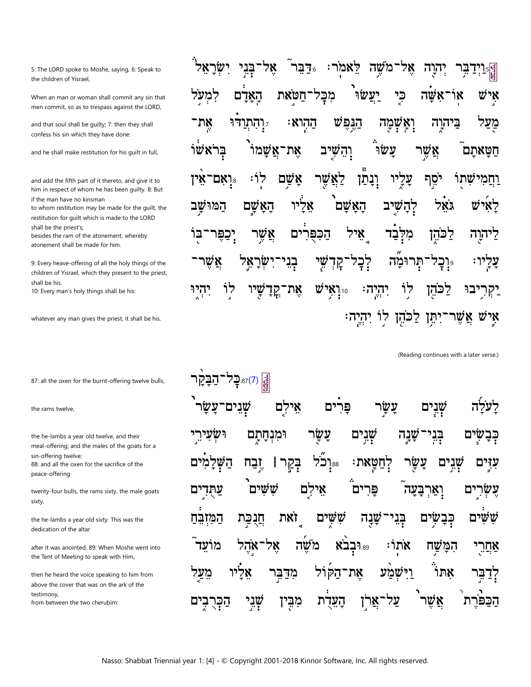5: The LORD spoke to Moshe, saying, 6: Speak to the children of Yisrael.

When an man or woman shall commit any sin that men commit, so as to trespass against the LORD,

and that soul shall be guilty; 7: then they shall confess his sin which they have done:

and he shall make restitution for his guilt in full,

and add the fifth part of it thereto, and give it to him in respect of whom he has been guilty. 8: But if the man have no kinsman

to whom restitution may be made for the guilt, the restitution for guilt which is made to the LORD shall be the priest's;

besides the ram of the atonement, whereby atonement shall be made for him.

9: Every heave-offering of all the holy things of the children of Yisrael, which they present to the priest, shall be his.

10: Every man's holy things shall be his:

whatever any man gives the priest, it shall be his.

87: all the oxen for the burnt-offering twelve bulls,

the rams twelve,

the he-lambs a year old twelve, and their meal-offering; and the males of the goats for a sin-offering twelve; 88: and all the oxen for the sacrifice of the peace-offering

twenty-four bulls, the rams sixty, the male goats sixty,

the he-lambs a year old sixty. This was the dedication of the altar

after it was anointed. 89: When Moshe went into the Tent of Meeting to speak with Him,

then he heard the voice speaking to him from above the cover that was on the ark of the testimony,

from between the two cherubim:

|  |  |  | ְקְ <sub>ְפ</sub> ִיַיַדַבְּר יְהוֶה אֶל־מֹשֶׁה לֵאמֹר: <sub>∘ּ</sub> דַּבִּר ֿאֶל־בְּנֵי יִשְׂרָאֵל ׁ |
|--|--|--|--------------------------------------------------------------------------------------------------------|
|  |  |  | אִישׁ אוֹ־אִשָּׂה כִּיְ יַעֲשׂוּ מִכְּל־חַטֹּאת הָאָדָם לִמְעָל                                        |
|  |  |  | מַצַּל בַּיהוֶה וָאֲשָׁמָה הַגֶּפֶשׁ הַהְוא: <sub>יִּ</sub> וְהִתְוַד <sup>ָּ</sup> וּ אֶת־            |
|  |  |  | ֿ הַטָּאתָם אֲשֶׁר עָשׂוּ וְהֵשְׁיָב אֶת־אֲשָׁמוֹ בְּרֹאשׁוֹ                                           |
|  |  |  | וַחֲמִישָׁתֻוֹ יֹסֵף עָלֶיוּ וְבָתַן לַאֲשֶׁר אָשָׁם לְוֹ: <sub>יּּ</sub> וְאִם־אִין                   |
|  |  |  | לָאִישׁ גֹאֵל לְהָשְׁיָב הָאָשָׁם <sup>י</sup> אָלִ <sup>י</sup> יו הָאָשֶׁם הַמּוּשָָב                |
|  |  |  | לַיהוֶה לַכֹּהֶן מִלְּבַד אֵיל הַכִּפֻּרִים אֲשֶׁר יְבַפֶּר־בּוֹ                                       |
|  |  |  | <b>עָלְיו: 。ַיְבְל־תְּרוּמָۢה לְבְל־קְדְשֵׁי בְּנֵי־יִשְׂרָאֵיַל אֲשֶׁר־</b>                           |
|  |  |  | יַקְרִיִבוּ לַכֹּהֶן לְוֹ יִהְיֶה: וּיִיְאִישׁ אֶת־קֲדָשָּׁיוּ לְוֹ יִהְיֶוּ                           |
|  |  |  | אֶישׁ אֲשֶׁר־יִתְּ֣ן לַכּׂהֶן לְוֹ יִהְיֶה׃                                                            |

(Reading continues with a later verse:)

| <mark>َ אֱ</mark> (ג) <sub>87.</sub> כָל־הַבָּקָר                                                           |  |  |  |  |
|-------------------------------------------------------------------------------------------------------------|--|--|--|--|
| לָעֹלָה שְׁנֵים עָשָׂר פִּרִים אֵילָם שְׁנֵים־עַשָׂר <sup>י</sup>                                           |  |  |  |  |
| בְּבָשָׂיִם בְּנִי־שָׁנָה שָׁנִים <i>צָ</i> שָׂר וּמִנְחָתָם וּשְׂעִירֵי                                    |  |  |  |  |
| עִדָּים שְׁגִים עַשָּׂר לְחַטְּאת: ﷺ בְּקַרI יָבַח הַשְּׁלָמִים                                             |  |  |  |  |
| עֶשְׂרִים וְאַרְבָּעָה <sup>ٓ</sup> פִּרִים <sup>ֹּ</sup> אֵילִֻם <i>שִׁ</i> שִּׁים <sup>ַ</sup> עַתֻּדְיִם |  |  |  |  |
| ּשָׁ שִּׂיָם בָּבָשְׂיִם בְּנֵי־שָׁנָה שָׁשָּׁיִם זֹאת חֲנֻבַּת הַמִּזְבֵּהַ                                |  |  |  |  |
| אַחֲרֵי הִמָּשָׁח אֹתְוֹ: <sub>יּּי</sub> וּבְבֹא מֹשֶׁה אָל־אַהֶל מוֹעֵד ֿ                                 |  |  |  |  |
| לְדַבִּר אִתוֹּ וַיִּשְׁמַע אֶת־הַקּוֹל מִדַּבִּר אֵלִיו מֵעַל                                              |  |  |  |  |
| הַבַּפּׂרֶת <sup>ֶ</sup> אֲשֶׁר <sup>ָי</sup> עַל־אֲר <sub>ָ</sub> ן הָעֵדֶת מִבֶּין שְׁנֵי הַבְּרֻבְיִם    |  |  |  |  |